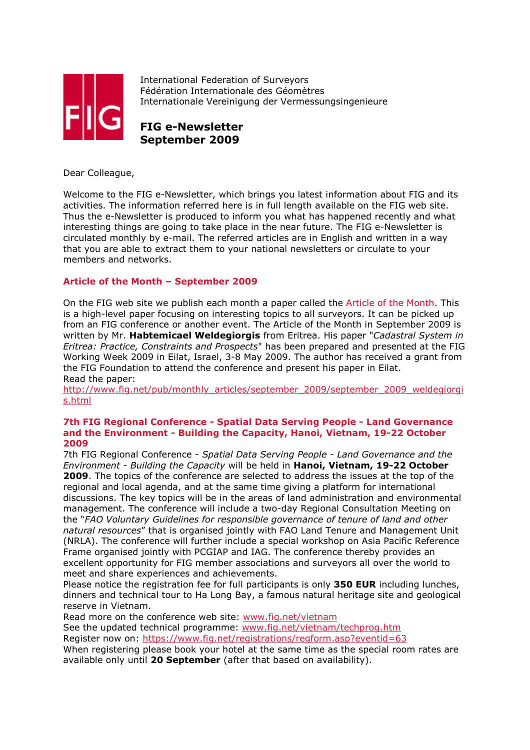

International Federation of Surveyors Fédération Internationale des Géomètres Internationale Vereinigung der Vermessungsingenieure

# **FIG e-Newsletter September 2009**

Dear Colleague,

Welcome to the FIG e-Newsletter, which brings you latest information about FIG and its activities. The information referred here is in full length available on the FIG web site. Thus the e-Newsletter is produced to inform you what has happened recently and what interesting things are going to take place in the near future. The FIG e-Newsletter is circulated monthly by e-mail. The referred articles are in English and written in a way that you are able to extract them to your national newsletters or circulate to your members and networks.

# **Article of the Month – September 2009**

On the FIG web site we publish each month a paper called the Article of the Month. This is a high-level paper focusing on interesting topics to all surveyors. It can be picked up from an FIG conference or another event. The Article of the Month in September 2009 is written by Mr. **Habtemicael Weldegiorgis** from Eritrea. His paper "*Cadastral System in Eritrea: Practice, Constraints and Prospects*" has been prepared and presented at the FIG Working Week 2009 in Eilat, Israel, 3-8 May 2009. The author has received a grant from the FIG Foundation to attend the conference and present his paper in Eilat. Read the paper:

http://www.fig.net/pub/monthly\_articles/september\_2009/september\_2009\_weldegiorgi s.html

#### **7th FIG Regional Conference - Spatial Data Serving People - Land Governance and the Environment - Building the Capacity, Hanoi, Vietnam, 19-22 October 2009**

7th FIG Regional Conference - *Spatial Data Serving People - Land Governance and the Environment - Building the Capacity* will be held in **Hanoi, Vietnam, 19-22 October 2009**. The topics of the conference are selected to address the issues at the top of the regional and local agenda, and at the same time giving a platform for international discussions. The key topics will be in the areas of land administration and environmental management. The conference will include a two-day Regional Consultation Meeting on the "*FAO Voluntary Guidelines for responsible governance of tenure of land and other natural resources*" that is organised jointly with FAO Land Tenure and Management Unit (NRLA). The conference will further include a special workshop on Asia Pacific Reference Frame organised jointly with PCGIAP and IAG. The conference thereby provides an excellent opportunity for FIG member associations and surveyors all over the world to meet and share experiences and achievements.

Please notice the registration fee for full participants is only **350 EUR** including lunches, dinners and technical tour to Ha Long Bay, a famous natural heritage site and geological reserve in Vietnam.

Read more on the conference web site: www.fig.net/vietnam

See the updated technical programme: www.fig.net/vietnam/techprog.htm

Register now on: https://www.fig.net/registrations/regform.asp?eventid=63

When registering please book your hotel at the same time as the special room rates are available only until **20 September** (after that based on availability).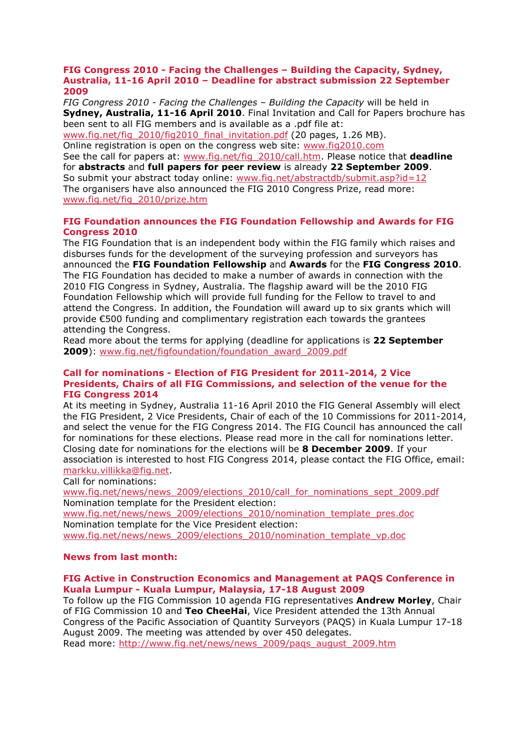#### **FIG Congress 2010 - Facing the Challenges – Building the Capacity, Sydney, Australia, 11-16 April 2010 – Deadline for abstract submission 22 September 2009**

*FIG Congress 2010 - Facing the Challenges – Building the Capacity* will be held in **Sydney, Australia, 11-16 April 2010**. Final Invitation and Call for Papers brochure has been sent to all FIG members and is available as a .pdf file at:

www.fig.net/fig\_2010/fig2010\_final\_invitation.pdf (20 pages, 1.26 MB). Online registration is open on the congress web site: www.fig2010.com

See the call for papers at: www.fig.net/fig\_2010/call.htm. Please notice that **deadline** for **abstracts** and **full papers for peer review** is already **22 September 2009**. So submit your abstract today online: www.fig.net/abstractdb/submit.asp?id=12 The organisers have also announced the FIG 2010 Congress Prize, read more: www.fig.net/fig\_2010/prize.htm

#### **FIG Foundation announces the FIG Foundation Fellowship and Awards for FIG Congress 2010**

The FIG Foundation that is an independent body within the FIG family which raises and disburses funds for the development of the surveying profession and surveyors has announced the **FIG Foundation Fellowship** and **Awards** for the **FIG Congress 2010**. The FIG Foundation has decided to make a number of awards in connection with the 2010 FIG Congress in Sydney, Australia. The flagship award will be the 2010 FIG Foundation Fellowship which will provide full funding for the Fellow to travel to and attend the Congress. In addition, the Foundation will award up to six grants which will provide €500 funding and complimentary registration each towards the grantees attending the Congress.

Read more about the terms for applying (deadline for applications is **22 September 2009**): www.fig.net/figfoundation/foundation\_award\_2009.pdf

#### **Call for nominations - Election of FIG President for 2011-2014, 2 Vice Presidents, Chairs of all FIG Commissions, and selection of the venue for the FIG Congress 2014**

At its meeting in Sydney, Australia 11-16 April 2010 the FIG General Assembly will elect the FIG President, 2 Vice Presidents, Chair of each of the 10 Commissions for 2011-2014, and select the venue for the FIG Congress 2014. The FIG Council has announced the call for nominations for these elections. Please read more in the call for nominations letter. Closing date for nominations for the elections will be **8 December 2009**. If your association is interested to host FIG Congress 2014, please contact the FIG Office, email: markku.villikka@fig.net.

Call for nominations:

www.fig.net/news/news\_2009/elections\_2010/call\_for\_nominations\_sept\_2009.pdf Nomination template for the President election:

www.fig.net/news/news\_2009/elections\_2010/nomination\_template\_pres.doc Nomination template for the Vice President election: www.fig.net/news/news\_2009/elections\_2010/nomination\_template\_vp.doc

#### **News from last month:**

#### **FIG Active in Construction Economics and Management at PAQS Conference in Kuala Lumpur - Kuala Lumpur, Malaysia, 17-18 August 2009**

To follow up the FIG Commission 10 agenda FIG representatives **Andrew Morley**, Chair of FIG Commission 10 and **Teo CheeHai**, Vice President attended the 13th Annual Congress of the Pacific Association of Quantity Surveyors (PAQS) in Kuala Lumpur 17-18 August 2009. The meeting was attended by over 450 delegates.

Read more: http://www.fig.net/news/news\_2009/paqs\_august\_2009.htm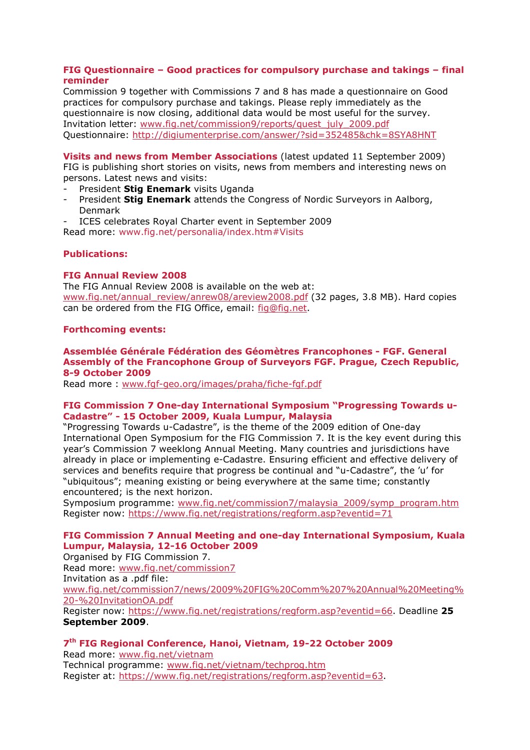## **FIG Questionnaire – Good practices for compulsory purchase and takings – final reminder**

Commission 9 together with Commissions 7 and 8 has made a questionnaire on Good practices for compulsory purchase and takings. Please reply immediately as the questionnaire is now closing, additional data would be most useful for the survey. Invitation letter: www.fig.net/commission9/reports/quest\_july\_2009.pdf Questionnaire: http://digiumenterprise.com/answer/?sid=352485&chk=8SYA8HNT

**Visits and news from Member Associations** (latest updated 11 September 2009) FIG is publishing short stories on visits, news from members and interesting news on persons. Latest news and visits:

- President **Stig Enemark** visits Uganda
- President **Stig Enemark** attends the Congress of Nordic Surveyors in Aalborg, Denmark
- ICES celebrates Royal Charter event in September 2009

Read more: www.fig.net/personalia/index.htm#Visits

## **Publications:**

## **FIG Annual Review 2008**

The FIG Annual Review 2008 is available on the web at: www.fig.net/annual\_review/anrew08/areview2008.pdf (32 pages, 3.8 MB). Hard copies can be ordered from the FIG Office, email: fig@fig.net.

#### **Forthcoming events:**

#### **Assemblée Générale Fédération des Géomètres Francophones - FGF. General Assembly of the Francophone Group of Surveyors FGF. Prague, Czech Republic, 8-9 October 2009**

Read more : www.fgf-geo.org/images/praha/fiche-fgf.pdf

#### **FIG Commission 7 One-day International Symposium "Progressing Towards u-Cadastre" - 15 October 2009, Kuala Lumpur, Malaysia**

"Progressing Towards u-Cadastre", is the theme of the 2009 edition of One-day International Open Symposium for the FIG Commission 7. It is the key event during this year's Commission 7 weeklong Annual Meeting. Many countries and jurisdictions have already in place or implementing e-Cadastre. Ensuring efficient and effective delivery of services and benefits require that progress be continual and "u-Cadastre", the 'u' for "ubiquitous"; meaning existing or being everywhere at the same time; constantly encountered; is the next horizon.

Symposium programme: www.fig.net/commission7/malaysia\_2009/symp\_program.htm Register now: https://www.fig.net/registrations/regform.asp?eventid=71

# **FIG Commission 7 Annual Meeting and one-day International Symposium, Kuala Lumpur, Malaysia, 12-16 October 2009**

Organised by FIG Commission 7. Read more: www.fig.net/commission7 Invitation as a .pdf file: www.fig.net/commission7/news/2009%20FIG%20Comm%207%20Annual%20Meeting% 20-%20InvitationOA.pdf Register now: https://www.fig.net/registrations/regform.asp?eventid=66. Deadline **25 September 2009**.

# **7th FIG Regional Conference, Hanoi, Vietnam, 19-22 October 2009**

Read more: www.fig.net/vietnam Technical programme: www.fig.net/vietnam/techprog.htm Register at: https://www.fig.net/registrations/regform.asp?eventid=63.